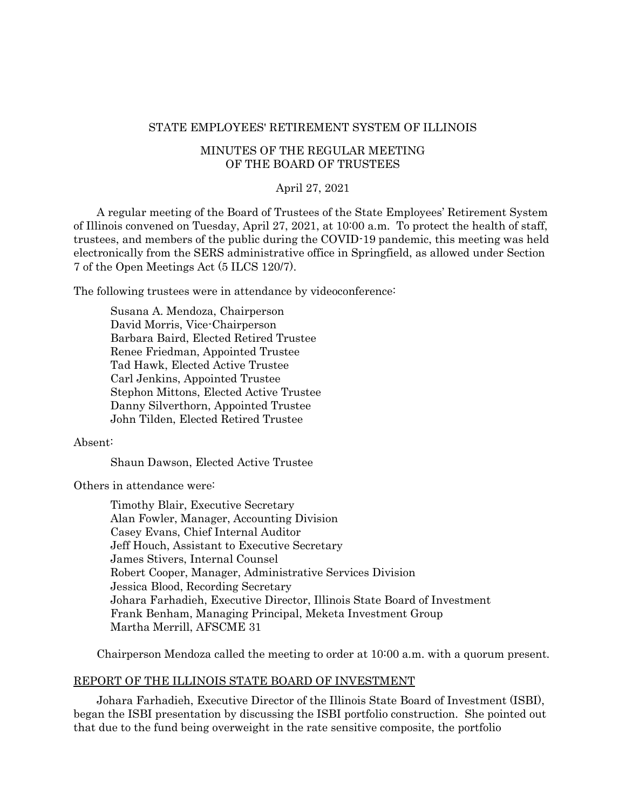### STATE EMPLOYEES' RETIREMENT SYSTEM OF ILLINOIS

# MINUTES OF THE REGULAR MEETING OF THE BOARD OF TRUSTEES

# April 27, 2021

A regular meeting of the Board of Trustees of the State Employees' Retirement System of Illinois convened on Tuesday, April 27, 2021, at 10:00 a.m. To protect the health of staff, trustees, and members of the public during the COVID-19 pandemic, this meeting was held electronically from the SERS administrative office in Springfield, as allowed under Section 7 of the Open Meetings Act (5 ILCS 120/7).

The following trustees were in attendance by videoconference:

Susana A. Mendoza, Chairperson David Morris, Vice-Chairperson Barbara Baird, Elected Retired Trustee Renee Friedman, Appointed Trustee Tad Hawk, Elected Active Trustee Carl Jenkins, Appointed Trustee Stephon Mittons, Elected Active Trustee Danny Silverthorn, Appointed Trustee John Tilden, Elected Retired Trustee

### Absent:

Shaun Dawson, Elected Active Trustee

Others in attendance were:

Timothy Blair, Executive Secretary Alan Fowler, Manager, Accounting Division Casey Evans, Chief Internal Auditor Jeff Houch, Assistant to Executive Secretary James Stivers, Internal Counsel Robert Cooper, Manager, Administrative Services Division Jessica Blood, Recording Secretary Johara Farhadieh, Executive Director, Illinois State Board of Investment Frank Benham, Managing Principal, Meketa Investment Group Martha Merrill, AFSCME 31

Chairperson Mendoza called the meeting to order at 10:00 a.m. with a quorum present.

### REPORT OF THE ILLINOIS STATE BOARD OF INVESTMENT

Johara Farhadieh, Executive Director of the Illinois State Board of Investment (ISBI), began the ISBI presentation by discussing the ISBI portfolio construction. She pointed out that due to the fund being overweight in the rate sensitive composite, the portfolio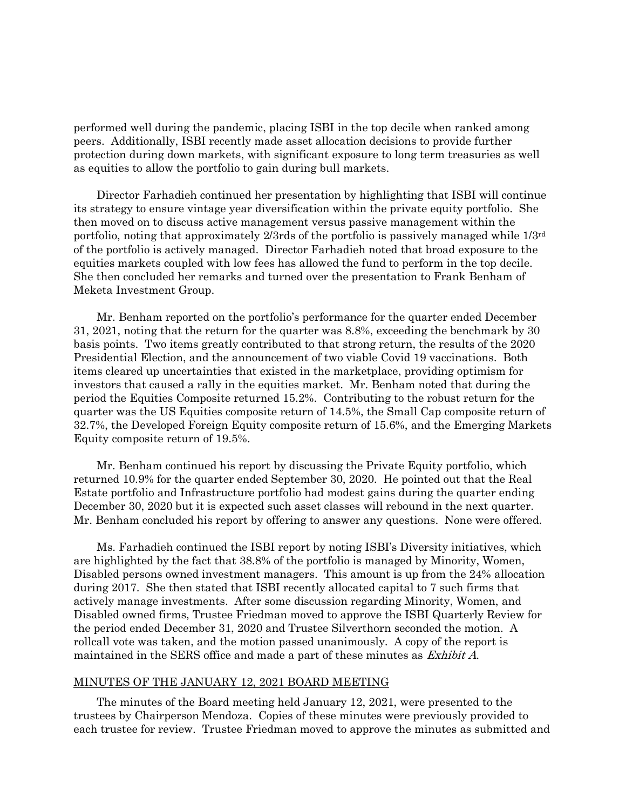performed well during the pandemic, placing ISBI in the top decile when ranked among peers. Additionally, ISBI recently made asset allocation decisions to provide further protection during down markets, with significant exposure to long term treasuries as well as equities to allow the portfolio to gain during bull markets.

Director Farhadieh continued her presentation by highlighting that ISBI will continue its strategy to ensure vintage year diversification within the private equity portfolio. She then moved on to discuss active management versus passive management within the portfolio, noting that approximately 2/3rds of the portfolio is passively managed while 1/3rd of the portfolio is actively managed. Director Farhadieh noted that broad exposure to the equities markets coupled with low fees has allowed the fund to perform in the top decile. She then concluded her remarks and turned over the presentation to Frank Benham of Meketa Investment Group.

Mr. Benham reported on the portfolio's performance for the quarter ended December 31, 2021, noting that the return for the quarter was 8.8%, exceeding the benchmark by 30 basis points. Two items greatly contributed to that strong return, the results of the 2020 Presidential Election, and the announcement of two viable Covid 19 vaccinations. Both items cleared up uncertainties that existed in the marketplace, providing optimism for investors that caused a rally in the equities market. Mr. Benham noted that during the period the Equities Composite returned 15.2%. Contributing to the robust return for the quarter was the US Equities composite return of 14.5%, the Small Cap composite return of 32.7%, the Developed Foreign Equity composite return of 15.6%, and the Emerging Markets Equity composite return of 19.5%.

Mr. Benham continued his report by discussing the Private Equity portfolio, which returned 10.9% for the quarter ended September 30, 2020. He pointed out that the Real Estate portfolio and Infrastructure portfolio had modest gains during the quarter ending December 30, 2020 but it is expected such asset classes will rebound in the next quarter. Mr. Benham concluded his report by offering to answer any questions. None were offered.

Ms. Farhadieh continued the ISBI report by noting ISBI's Diversity initiatives, which are highlighted by the fact that 38.8% of the portfolio is managed by Minority, Women, Disabled persons owned investment managers. This amount is up from the 24% allocation during 2017. She then stated that ISBI recently allocated capital to 7 such firms that actively manage investments. After some discussion regarding Minority, Women, and Disabled owned firms, Trustee Friedman moved to approve the ISBI Quarterly Review for the period ended December 31, 2020 and Trustee Silverthorn seconded the motion. A rollcall vote was taken, and the motion passed unanimously. A copy of the report is maintained in the SERS office and made a part of these minutes as *Exhibit A*.

#### MINUTES OF THE JANUARY 12, 2021 BOARD MEETING

The minutes of the Board meeting held January 12, 2021, were presented to the trustees by Chairperson Mendoza. Copies of these minutes were previously provided to each trustee for review. Trustee Friedman moved to approve the minutes as submitted and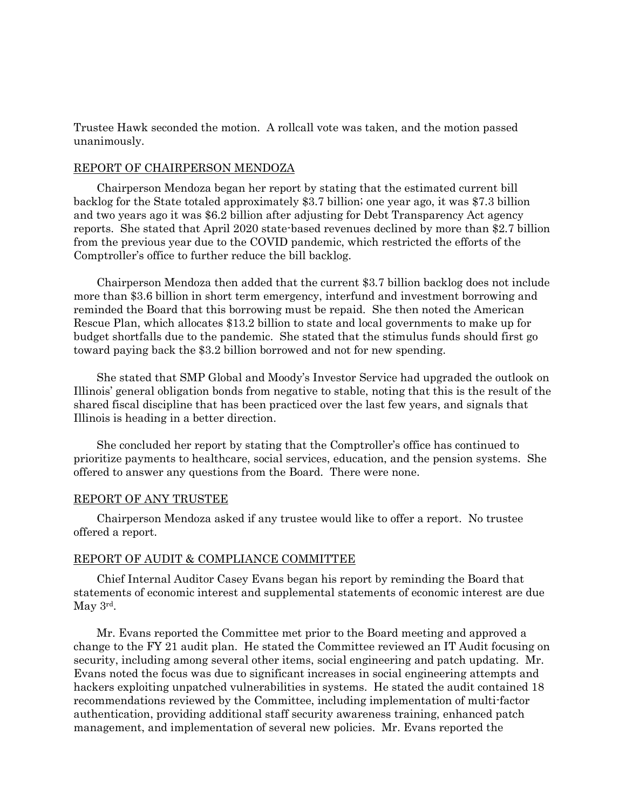Trustee Hawk seconded the motion. A rollcall vote was taken, and the motion passed unanimously.

# REPORT OF CHAIRPERSON MENDOZA

Chairperson Mendoza began her report by stating that the estimated current bill backlog for the State totaled approximately \$3.7 billion; one year ago, it was \$7.3 billion and two years ago it was \$6.2 billion after adjusting for Debt Transparency Act agency reports. She stated that April 2020 state-based revenues declined by more than \$2.7 billion from the previous year due to the COVID pandemic, which restricted the efforts of the Comptroller's office to further reduce the bill backlog.

Chairperson Mendoza then added that the current \$3.7 billion backlog does not include more than \$3.6 billion in short term emergency, interfund and investment borrowing and reminded the Board that this borrowing must be repaid. She then noted the American Rescue Plan, which allocates \$13.2 billion to state and local governments to make up for budget shortfalls due to the pandemic. She stated that the stimulus funds should first go toward paying back the \$3.2 billion borrowed and not for new spending.

She stated that SMP Global and Moody's Investor Service had upgraded the outlook on Illinois' general obligation bonds from negative to stable, noting that this is the result of the shared fiscal discipline that has been practiced over the last few years, and signals that Illinois is heading in a better direction.

She concluded her report by stating that the Comptroller's office has continued to prioritize payments to healthcare, social services, education, and the pension systems. She offered to answer any questions from the Board. There were none.

#### REPORT OF ANY TRUSTEE

Chairperson Mendoza asked if any trustee would like to offer a report. No trustee offered a report.

#### REPORT OF AUDIT & COMPLIANCE COMMITTEE

Chief Internal Auditor Casey Evans began his report by reminding the Board that statements of economic interest and supplemental statements of economic interest are due May 3rd.

Mr. Evans reported the Committee met prior to the Board meeting and approved a change to the FY 21 audit plan. He stated the Committee reviewed an IT Audit focusing on security, including among several other items, social engineering and patch updating. Mr. Evans noted the focus was due to significant increases in social engineering attempts and hackers exploiting unpatched vulnerabilities in systems. He stated the audit contained 18 recommendations reviewed by the Committee, including implementation of multi-factor authentication, providing additional staff security awareness training, enhanced patch management, and implementation of several new policies. Mr. Evans reported the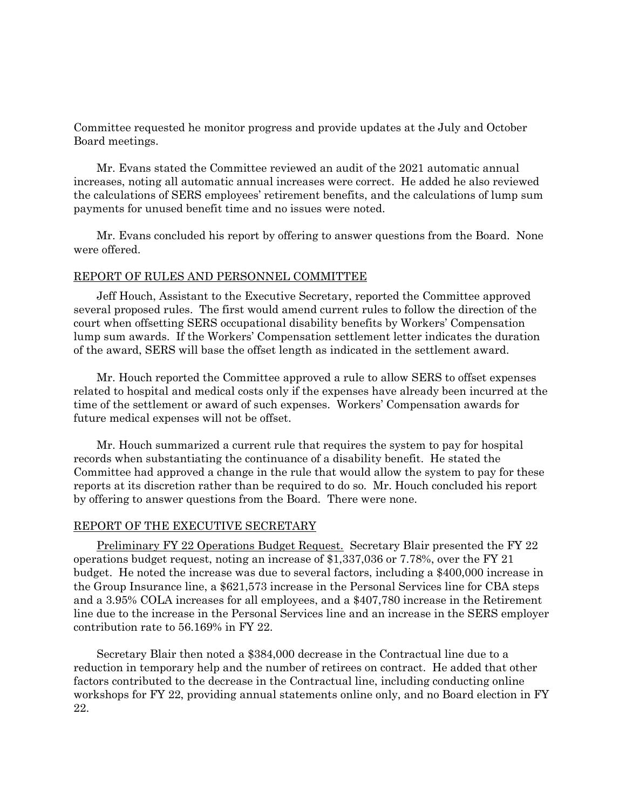Committee requested he monitor progress and provide updates at the July and October Board meetings.

Mr. Evans stated the Committee reviewed an audit of the 2021 automatic annual increases, noting all automatic annual increases were correct. He added he also reviewed the calculations of SERS employees' retirement benefits, and the calculations of lump sum payments for unused benefit time and no issues were noted.

Mr. Evans concluded his report by offering to answer questions from the Board. None were offered.

### REPORT OF RULES AND PERSONNEL COMMITTEE

Jeff Houch, Assistant to the Executive Secretary, reported the Committee approved several proposed rules. The first would amend current rules to follow the direction of the court when offsetting SERS occupational disability benefits by Workers' Compensation lump sum awards. If the Workers' Compensation settlement letter indicates the duration of the award, SERS will base the offset length as indicated in the settlement award.

Mr. Houch reported the Committee approved a rule to allow SERS to offset expenses related to hospital and medical costs only if the expenses have already been incurred at the time of the settlement or award of such expenses. Workers' Compensation awards for future medical expenses will not be offset.

Mr. Houch summarized a current rule that requires the system to pay for hospital records when substantiating the continuance of a disability benefit. He stated the Committee had approved a change in the rule that would allow the system to pay for these reports at its discretion rather than be required to do so. Mr. Houch concluded his report by offering to answer questions from the Board. There were none.

#### REPORT OF THE EXECUTIVE SECRETARY

Preliminary FY 22 Operations Budget Request. Secretary Blair presented the FY 22 operations budget request, noting an increase of \$1,337,036 or 7.78%, over the FY 21 budget. He noted the increase was due to several factors, including a \$400,000 increase in the Group Insurance line, a \$621,573 increase in the Personal Services line for CBA steps and a 3.95% COLA increases for all employees, and a \$407,780 increase in the Retirement line due to the increase in the Personal Services line and an increase in the SERS employer contribution rate to 56.169% in FY 22.

Secretary Blair then noted a \$384,000 decrease in the Contractual line due to a reduction in temporary help and the number of retirees on contract. He added that other factors contributed to the decrease in the Contractual line, including conducting online workshops for FY 22, providing annual statements online only, and no Board election in FY 22.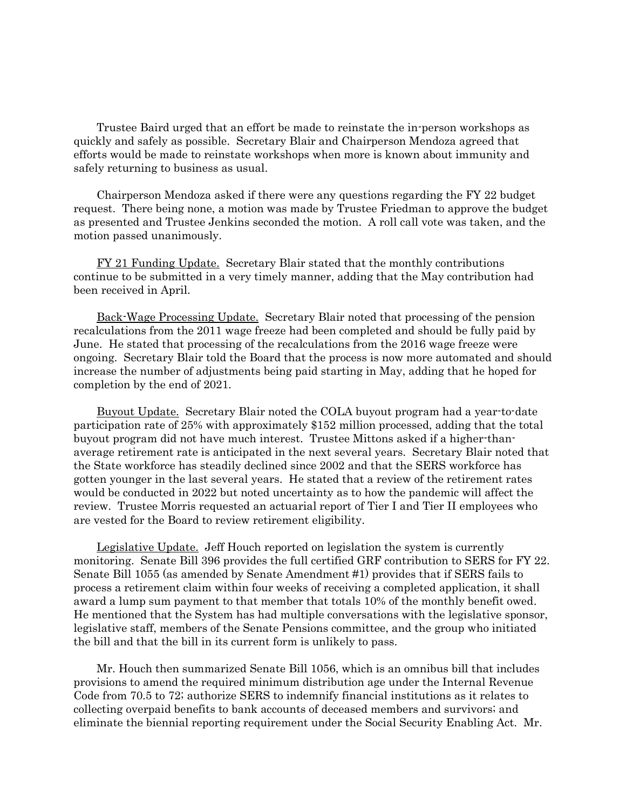Trustee Baird urged that an effort be made to reinstate the in-person workshops as quickly and safely as possible. Secretary Blair and Chairperson Mendoza agreed that efforts would be made to reinstate workshops when more is known about immunity and safely returning to business as usual.

Chairperson Mendoza asked if there were any questions regarding the FY 22 budget request. There being none, a motion was made by Trustee Friedman to approve the budget as presented and Trustee Jenkins seconded the motion. A roll call vote was taken, and the motion passed unanimously.

FY 21 Funding Update. Secretary Blair stated that the monthly contributions continue to be submitted in a very timely manner, adding that the May contribution had been received in April.

Back-Wage Processing Update. Secretary Blair noted that processing of the pension recalculations from the 2011 wage freeze had been completed and should be fully paid by June. He stated that processing of the recalculations from the 2016 wage freeze were ongoing. Secretary Blair told the Board that the process is now more automated and should increase the number of adjustments being paid starting in May, adding that he hoped for completion by the end of 2021.

Buyout Update. Secretary Blair noted the COLA buyout program had a year-to-date participation rate of 25% with approximately \$152 million processed, adding that the total buyout program did not have much interest. Trustee Mittons asked if a higher-thanaverage retirement rate is anticipated in the next several years. Secretary Blair noted that the State workforce has steadily declined since 2002 and that the SERS workforce has gotten younger in the last several years. He stated that a review of the retirement rates would be conducted in 2022 but noted uncertainty as to how the pandemic will affect the review. Trustee Morris requested an actuarial report of Tier I and Tier II employees who are vested for the Board to review retirement eligibility.

Legislative Update. Jeff Houch reported on legislation the system is currently monitoring. Senate Bill 396 provides the full certified GRF contribution to SERS for FY 22. Senate Bill 1055 (as amended by Senate Amendment #1) provides that if SERS fails to process a retirement claim within four weeks of receiving a completed application, it shall award a lump sum payment to that member that totals 10% of the monthly benefit owed. He mentioned that the System has had multiple conversations with the legislative sponsor, legislative staff, members of the Senate Pensions committee, and the group who initiated the bill and that the bill in its current form is unlikely to pass.

Mr. Houch then summarized Senate Bill 1056, which is an omnibus bill that includes provisions to amend the required minimum distribution age under the Internal Revenue Code from 70.5 to 72; authorize SERS to indemnify financial institutions as it relates to collecting overpaid benefits to bank accounts of deceased members and survivors; and eliminate the biennial reporting requirement under the Social Security Enabling Act. Mr.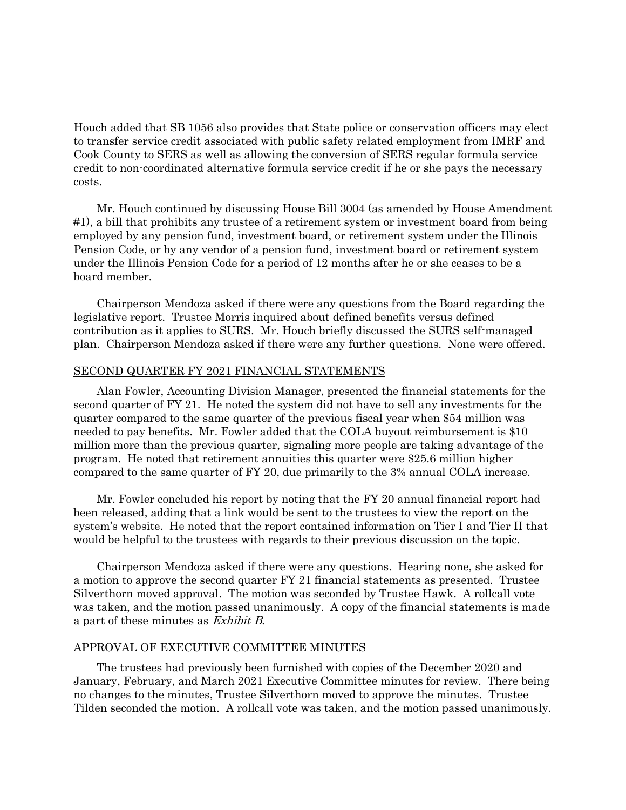Houch added that SB 1056 also provides that State police or conservation officers may elect to transfer service credit associated with public safety related employment from IMRF and Cook County to SERS as well as allowing the conversion of SERS regular formula service credit to non-coordinated alternative formula service credit if he or she pays the necessary costs.

Mr. Houch continued by discussing House Bill 3004 (as amended by House Amendment #1), a bill that prohibits any trustee of a retirement system or investment board from being employed by any pension fund, investment board, or retirement system under the Illinois Pension Code, or by any vendor of a pension fund, investment board or retirement system under the Illinois Pension Code for a period of 12 months after he or she ceases to be a board member.

Chairperson Mendoza asked if there were any questions from the Board regarding the legislative report. Trustee Morris inquired about defined benefits versus defined contribution as it applies to SURS. Mr. Houch briefly discussed the SURS self-managed plan. Chairperson Mendoza asked if there were any further questions. None were offered.

# SECOND QUARTER FY 2021 FINANCIAL STATEMENTS

Alan Fowler, Accounting Division Manager, presented the financial statements for the second quarter of FY 21. He noted the system did not have to sell any investments for the quarter compared to the same quarter of the previous fiscal year when \$54 million was needed to pay benefits. Mr. Fowler added that the COLA buyout reimbursement is \$10 million more than the previous quarter, signaling more people are taking advantage of the program. He noted that retirement annuities this quarter were \$25.6 million higher compared to the same quarter of FY 20, due primarily to the 3% annual COLA increase.

Mr. Fowler concluded his report by noting that the FY 20 annual financial report had been released, adding that a link would be sent to the trustees to view the report on the system's website. He noted that the report contained information on Tier I and Tier II that would be helpful to the trustees with regards to their previous discussion on the topic.

Chairperson Mendoza asked if there were any questions. Hearing none, she asked for a motion to approve the second quarter FY 21 financial statements as presented. Trustee Silverthorn moved approval. The motion was seconded by Trustee Hawk. A rollcall vote was taken, and the motion passed unanimously. A copy of the financial statements is made a part of these minutes as Exhibit B.

### APPROVAL OF EXECUTIVE COMMITTEE MINUTES

The trustees had previously been furnished with copies of the December 2020 and January, February, and March 2021 Executive Committee minutes for review. There being no changes to the minutes, Trustee Silverthorn moved to approve the minutes. Trustee Tilden seconded the motion. A rollcall vote was taken, and the motion passed unanimously.